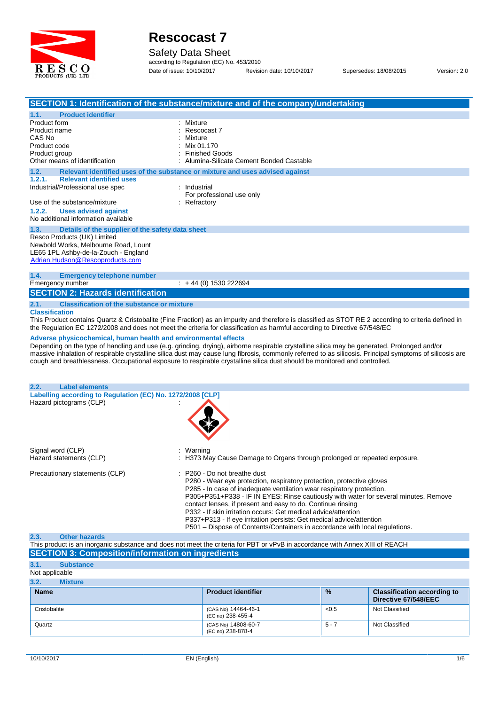

Safety Data Sheet

according to Regulation (EC) No. 453/2010 Date of issue: 10/10/2017 Revision date: 10/10/2017 Supersedes: 18/08/2015 Version: 2.0

| <b>Product identifier</b>                                                                                                                                                                                  | SECTION 1: Identification of the substance/mixture and of the company/undertaking                                                                                                                                                                                                                                                                                                                                                                                                                                                                                                                                                                                                                                          |
|------------------------------------------------------------------------------------------------------------------------------------------------------------------------------------------------------------|----------------------------------------------------------------------------------------------------------------------------------------------------------------------------------------------------------------------------------------------------------------------------------------------------------------------------------------------------------------------------------------------------------------------------------------------------------------------------------------------------------------------------------------------------------------------------------------------------------------------------------------------------------------------------------------------------------------------------|
| 1.1.<br>Product form<br>Product name<br>CAS No<br>Product code<br>Product group<br>Other means of identification                                                                                           | Mixture<br>Rescocast 7<br>Mixture<br>Mix 01.170<br><b>Finished Goods</b><br>Alumina-Silicate Cement Bonded Castable                                                                                                                                                                                                                                                                                                                                                                                                                                                                                                                                                                                                        |
| 1.2.<br>1.2.1.<br><b>Relevant identified uses</b><br>Industrial/Professional use spec<br>Use of the substance/mixture<br>1.2.2.<br><b>Uses advised against</b><br>No additional information available      | Relevant identified uses of the substance or mixture and uses advised against<br>: Industrial<br>For professional use only<br>Refractory                                                                                                                                                                                                                                                                                                                                                                                                                                                                                                                                                                                   |
| 1.3.<br>Details of the supplier of the safety data sheet<br>Resco Products (UK) Limited<br>Newbold Works, Melbourne Road, Lount<br>LE65 1PL Ashby-de-la-Zouch - England<br>Adrian.Hudson@Rescoproducts.com |                                                                                                                                                                                                                                                                                                                                                                                                                                                                                                                                                                                                                                                                                                                            |
| 1.4.<br><b>Emergency telephone number</b><br>Emergency number<br><b>SECTION 2: Hazards identification</b>                                                                                                  | $\div$ + 44 (0) 1530 222694                                                                                                                                                                                                                                                                                                                                                                                                                                                                                                                                                                                                                                                                                                |
| <b>Classification of the substance or mixture</b><br>2.1.<br><b>Classification</b><br>Adverse physicochemical, human health and environmental effects                                                      | This Product contains Quartz & Cristobalite (Fine Fraction) as an impurity and therefore is classified as STOT RE 2 according to criteria defined in<br>the Regulation EC 1272/2008 and does not meet the criteria for classification as harmful according to Directive 67/548/EC<br>Depending on the type of handling and use (e.g. grinding, drying), airborne respirable crystalline silica may be generated. Prolonged and/or<br>massive inhalation of respirable crystalline silica dust may cause lung fibrosis, commonly referred to as silicosis. Principal symptoms of silicosis are<br>cough and breathlessness. Occupational exposure to respirable crystalline silica dust should be monitored and controlled. |
| <b>Label elements</b><br>2.2.<br>Labelling according to Regulation (EC) No. 1272/2008 [CLP]<br>Hazard pictograms (CLP)                                                                                     |                                                                                                                                                                                                                                                                                                                                                                                                                                                                                                                                                                                                                                                                                                                            |
|                                                                                                                                                                                                            |                                                                                                                                                                                                                                                                                                                                                                                                                                                                                                                                                                                                                                                                                                                            |
| Signal word (CLP)<br>Hazard statements (CLP)                                                                                                                                                               | Warning<br>H373 May Cause Damage to Organs through prolonged or repeated exposure.                                                                                                                                                                                                                                                                                                                                                                                                                                                                                                                                                                                                                                         |
| Precautionary statements (CLP)                                                                                                                                                                             | : P260 - Do not breathe dust<br>P280 - Wear eye protection, respiratory protection, protective gloves<br>P285 - In case of inadequate ventilation wear respiratory protection.<br>P305+P351+P338 - IF IN EYES: Rinse cautiously with water for several minutes. Remove<br>contact lenses, if present and easy to do. Continue rinsing<br>P332 - If skin irritation occurs: Get medical advice/attention<br>P337+P313 - If eye irritation persists: Get medical advice/attention<br>P501 – Dispose of Contents/Containers in accordance with local regulations.                                                                                                                                                             |
| <b>Other hazards</b><br>2.3.                                                                                                                                                                               |                                                                                                                                                                                                                                                                                                                                                                                                                                                                                                                                                                                                                                                                                                                            |

#### This product is an inorganic substance and does notmeet the criteria for PBT or vPvB in accordance with Annex XIII of REACH **SECTION 3: Composition/information on ingredients**

| 3.1.           | <b>Substance</b> |                                          |               |                                                            |
|----------------|------------------|------------------------------------------|---------------|------------------------------------------------------------|
| Not applicable |                  |                                          |               |                                                            |
| 3.2.           | <b>Mixture</b>   |                                          |               |                                                            |
| <b>Name</b>    |                  | <b>Product identifier</b>                | $\frac{9}{6}$ | <b>Classification according to</b><br>Directive 67/548/EEC |
| Cristobalite   |                  | (CAS No) 14464-46-1<br>(EC no) 238-455-4 | < 0.5         | Not Classified                                             |
| Quartz         |                  | (CAS No) 14808-60-7<br>(EC no) 238-878-4 | $5 - 7$       | Not Classified                                             |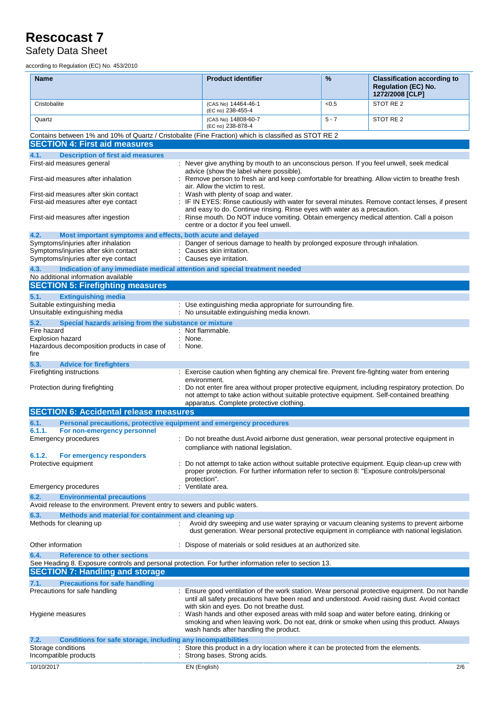Safety Data Sheet

according to Regulation (EC) No. 453/2010

| Name                                                                                                                                                 | <b>Product identifier</b>                                                                                                                                                                                                     | %       | <b>Classification according to</b><br><b>Regulation (EC) No.</b><br>1272/2008 [CLP] |
|------------------------------------------------------------------------------------------------------------------------------------------------------|-------------------------------------------------------------------------------------------------------------------------------------------------------------------------------------------------------------------------------|---------|-------------------------------------------------------------------------------------|
| Cristobalite                                                                                                                                         | (CAS No) 14464-46-1<br>(EC no) 238-455-4                                                                                                                                                                                      | < 0.5   | STOT RE 2                                                                           |
| Quartz                                                                                                                                               | (CAS No) 14808-60-7                                                                                                                                                                                                           | $5 - 7$ | STOT RE 2                                                                           |
|                                                                                                                                                      | (EC no) 238-878-4                                                                                                                                                                                                             |         |                                                                                     |
| Contains between 1% and 10% of Quartz / Cristobalite (Fine Fraction) which is classified as STOT RE 2<br><b>SECTION 4: First aid measures</b>        |                                                                                                                                                                                                                               |         |                                                                                     |
| 4.1.<br><b>Description of first aid measures</b>                                                                                                     |                                                                                                                                                                                                                               |         |                                                                                     |
| First-aid measures general                                                                                                                           | : Never give anything by mouth to an unconscious person. If you feel unwell, seek medical                                                                                                                                     |         |                                                                                     |
| First-aid measures after inhalation                                                                                                                  | advice (show the label where possible).<br>Remove person to fresh air and keep comfortable for breathing. Allow victim to breathe fresh                                                                                       |         |                                                                                     |
| First-aid measures after skin contact                                                                                                                | air. Allow the victim to rest.<br>Wash with plenty of soap and water.                                                                                                                                                         |         |                                                                                     |
| First-aid measures after eye contact                                                                                                                 | IF IN EYES: Rinse cautiously with water for several minutes. Remove contact lenses, if present                                                                                                                                |         |                                                                                     |
| First-aid measures after ingestion                                                                                                                   | and easy to do. Continue rinsing. Rinse eyes with water as a precaution.<br>: Rinse mouth. Do NOT induce vomiting. Obtain emergency medical attention. Call a poison<br>centre or a doctor if you feel unwell.                |         |                                                                                     |
| 4.2.<br>Most important symptoms and effects, both acute and delayed                                                                                  |                                                                                                                                                                                                                               |         |                                                                                     |
| Symptoms/injuries after inhalation                                                                                                                   | : Danger of serious damage to health by prolonged exposure through inhalation.                                                                                                                                                |         |                                                                                     |
| Symptoms/injuries after skin contact<br>Symptoms/injuries after eye contact                                                                          | Causes skin irritation.<br>: Causes eye irritation.                                                                                                                                                                           |         |                                                                                     |
| 4.3.<br>Indication of any immediate medical attention and special treatment needed                                                                   |                                                                                                                                                                                                                               |         |                                                                                     |
| No additional information available                                                                                                                  |                                                                                                                                                                                                                               |         |                                                                                     |
| <b>SECTION 5: Firefighting measures</b>                                                                                                              |                                                                                                                                                                                                                               |         |                                                                                     |
| 5.1.<br><b>Extinguishing media</b><br>Suitable extinguishing media                                                                                   | : Use extinguishing media appropriate for surrounding fire.                                                                                                                                                                   |         |                                                                                     |
| Unsuitable extinguishing media                                                                                                                       | : No unsuitable extinguishing media known.                                                                                                                                                                                    |         |                                                                                     |
| 5.2.<br>Special hazards arising from the substance or mixture                                                                                        |                                                                                                                                                                                                                               |         |                                                                                     |
| Fire hazard                                                                                                                                          | : Not flammable.                                                                                                                                                                                                              |         |                                                                                     |
| Explosion hazard<br>Hazardous decomposition products in case of                                                                                      | : None.<br>: None.                                                                                                                                                                                                            |         |                                                                                     |
| fire                                                                                                                                                 |                                                                                                                                                                                                                               |         |                                                                                     |
| 5.3.<br><b>Advice for firefighters</b>                                                                                                               |                                                                                                                                                                                                                               |         |                                                                                     |
| Firefighting instructions                                                                                                                            | : Exercise caution when fighting any chemical fire. Prevent fire-fighting water from entering                                                                                                                                 |         |                                                                                     |
| Protection during firefighting                                                                                                                       | environment.<br>Do not enter fire area without proper protective equipment, including respiratory protection. Do<br>not attempt to take action without suitable protective equipment. Self-contained breathing                |         |                                                                                     |
| <b>SECTION 6: Accidental release measures</b>                                                                                                        | apparatus. Complete protective clothing.                                                                                                                                                                                      |         |                                                                                     |
| 6.1.<br>Personal precautions, protective equipment and emergency procedures                                                                          |                                                                                                                                                                                                                               |         |                                                                                     |
| 6.1.1.<br>For non-emergency personnel                                                                                                                |                                                                                                                                                                                                                               |         |                                                                                     |
| Emergency procedures                                                                                                                                 | : Do not breathe dust. Avoid airborne dust generation, wear personal protective equipment in<br>compliance with national legislation.                                                                                         |         |                                                                                     |
| 6.1.2.<br>For emergency responders                                                                                                                   | Do not attempt to take action without suitable protective equipment. Equip clean-up crew with                                                                                                                                 |         |                                                                                     |
| Protective equipment                                                                                                                                 | proper protection. For further information refer to section 8: "Exposure controls/personal<br>protection".                                                                                                                    |         |                                                                                     |
| Emergency procedures                                                                                                                                 | Ventilate area.                                                                                                                                                                                                               |         |                                                                                     |
| 6.2.<br><b>Environmental precautions</b>                                                                                                             |                                                                                                                                                                                                                               |         |                                                                                     |
| Avoid release to the environment. Prevent entry to sewers and public waters.                                                                         |                                                                                                                                                                                                                               |         |                                                                                     |
| 6.3.<br>Methods and material for containment and cleaning up<br>Methods for cleaning up                                                              | Avoid dry sweeping and use water spraying or vacuum cleaning systems to prevent airborne<br>dust generation. Wear personal protective equipment in compliance with national legislation.                                      |         |                                                                                     |
| Other information                                                                                                                                    | : Dispose of materials or solid residues at an authorized site.                                                                                                                                                               |         |                                                                                     |
| 6.4.<br><b>Reference to other sections</b><br>See Heading 8. Exposure controls and personal protection. For further information refer to section 13. |                                                                                                                                                                                                                               |         |                                                                                     |
| <b>SECTION 7: Handling and storage</b>                                                                                                               |                                                                                                                                                                                                                               |         |                                                                                     |
| <b>Precautions for safe handling</b><br>7.1.                                                                                                         |                                                                                                                                                                                                                               |         |                                                                                     |
| Precautions for safe handling                                                                                                                        | Ensure good ventilation of the work station. Wear personal protective equipment. Do not handle<br>until all safety precautions have been read and understood. Avoid raising dust. Avoid contact                               |         |                                                                                     |
|                                                                                                                                                      | with skin and eyes. Do not breathe dust.                                                                                                                                                                                      |         |                                                                                     |
| Hygiene measures                                                                                                                                     | Wash hands and other exposed areas with mild soap and water before eating, drinking or<br>smoking and when leaving work. Do not eat, drink or smoke when using this product. Always<br>wash hands after handling the product. |         |                                                                                     |
| Conditions for safe storage, including any incompatibilities<br>7.2.                                                                                 |                                                                                                                                                                                                                               |         |                                                                                     |
| Storage conditions                                                                                                                                   | Store this product in a dry location where it can be protected from the elements.                                                                                                                                             |         |                                                                                     |
| Incompatible products                                                                                                                                | Strong bases. Strong acids.                                                                                                                                                                                                   |         |                                                                                     |
| 10/10/2017                                                                                                                                           | EN (English)                                                                                                                                                                                                                  |         | 2/6                                                                                 |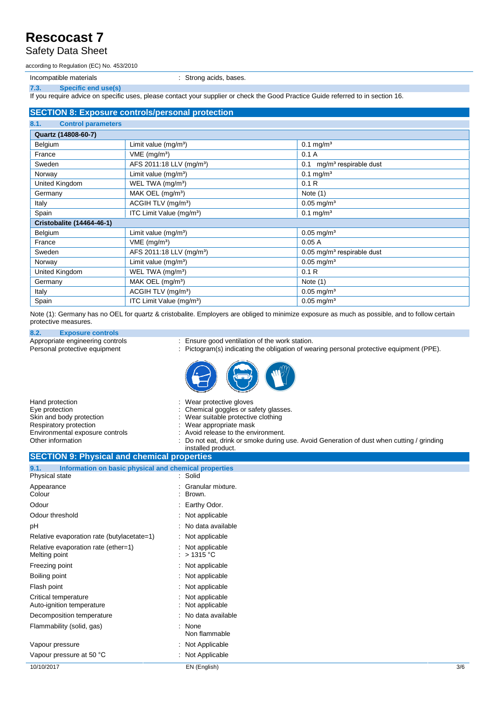Safety Data Sheet

according to Regulation (EC) No. 453/2010

Incompatible materials **incompatible materials incompatible materials incompatible materials** 

**7.3. Specific end use(s)**

If you require advice on specific uses, please contact your supplier or check the Good Practice Guide referred to in section 16.

#### **SECTION 8: Exposure controls/personal protection**

| 8.1.<br><b>Control parameters</b> |                                      |                                          |
|-----------------------------------|--------------------------------------|------------------------------------------|
| Quartz (14808-60-7)               |                                      |                                          |
| Belgium                           | Limit value $(mg/m3)$                | $0.1$ mg/m <sup>3</sup>                  |
| France                            | VME (mg/m <sup>3</sup> )             | 0.1A                                     |
| Sweden                            | AFS 2011:18 LLV (mg/m <sup>3</sup> ) | mg/m <sup>3</sup> respirable dust<br>0.1 |
| Norway                            | Limit value $(mg/m3)$                | $0.1$ mg/m <sup>3</sup>                  |
| United Kingdom                    | WEL TWA (mg/m <sup>3</sup> )         | 0.1R                                     |
| Germany                           | MAK OEL $(mg/m3)$                    | Note $(1)$                               |
| Italy                             | ACGIH TLV (mg/m <sup>3</sup> )       | $0.05$ mg/m <sup>3</sup>                 |
| Spain                             | ITC Limit Value (mg/m <sup>3</sup> ) | $0.1$ mg/m <sup>3</sup>                  |
| <b>Cristobalite (14464-46-1)</b>  |                                      |                                          |
| Belgium                           | Limit value $(mg/m3)$                | $0.05$ mg/m <sup>3</sup>                 |
| France                            | $VME$ (mg/m <sup>3</sup> )           | 0.05A                                    |
| Sweden                            | AFS 2011:18 LLV (mg/m <sup>3</sup> ) | $0.05$ mg/m <sup>3</sup> respirable dust |
| Norway                            | Limit value $(mg/m3)$                | $0.05$ mg/m <sup>3</sup>                 |
| United Kingdom                    | WEL TWA (mg/m <sup>3</sup> )         | 0.1R                                     |
| Germany                           | MAK OEL $(mg/m3)$                    | Note $(1)$                               |
| Italy                             | ACGIH TLV (mg/m <sup>3</sup> )       | $0.05$ mg/m <sup>3</sup>                 |
| Spain                             | ITC Limit Value (mg/m <sup>3</sup> ) | $0.05$ mg/m <sup>3</sup>                 |

Note (1): Germany has no OEL for quartz & cristobalite. Employers are obliged to minimize exposure as much as possible, and to follow certain protective measures.

### **8.2. Exposure controls**

Appropriate engineering controls : Ensure good ventilation of the work station.<br>
Personal protective equipment : Pictogram(s) indicating the obligation of weak

- 
- : Pictogram(s) indicating the obligation of wearing personal protective equipment (PPE).



| Hand protection                 | : Wear protective gloves                                                                  |
|---------------------------------|-------------------------------------------------------------------------------------------|
| Eye protection                  | : Chemical goggles or safety glasses.                                                     |
| Skin and body protection        | : Wear suitable protective clothing                                                       |
| Respiratory protection          | : Wear appropriate mask                                                                   |
| Environmental exposure controls | : Avoid release to the environment.                                                       |
| Other information               | : Do not eat, drink or smoke during use. Avoid Generation of dust when cutting / grinding |
|                                 | installed product.                                                                        |

#### **SECTION 9: Physical and chemical properties 9.1. Information on basic physical and chemical properties** Physical state

| : Not Applicable<br>: Not Applicable    |                   |
|-----------------------------------------|-------------------|
|                                         |                   |
|                                         |                   |
| : None<br>Non flammable                 |                   |
| : No data available                     |                   |
| Not applicable<br>Not applicable        |                   |
| : Not applicable                        |                   |
| $:$ Not applicable                      |                   |
| : Not applicable                        |                   |
| : Not applicable<br>: $>1315^{\circ}$ C |                   |
| : Not applicable                        |                   |
| : No data available                     |                   |
| : Not applicable                        |                   |
| Earthy Odor.                            |                   |
| Brown.                                  |                   |
|                                         | Granular mixture. |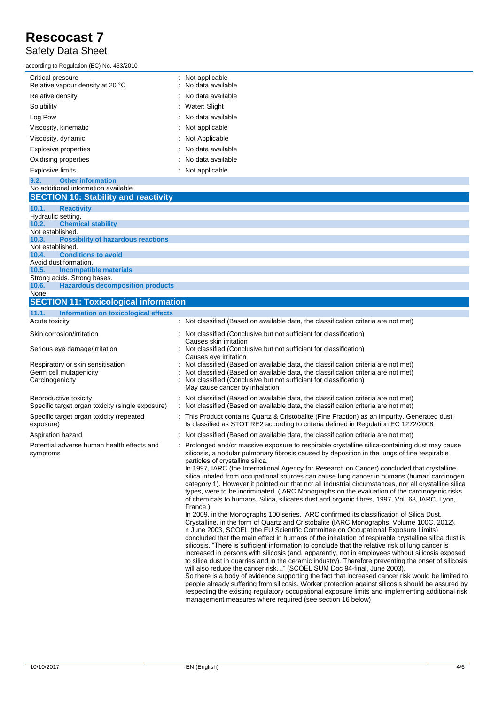#### Safety Data Sheet

| according to Regulation (EC) No. 453/2010             |                                         |
|-------------------------------------------------------|-----------------------------------------|
| Critical pressure<br>Relative vapour density at 20 °C | : Not applicable<br>: No data available |
| Relative density                                      | : No data available                     |
| Solubility                                            | : Water: Slight                         |
| Log Pow                                               | : No data available                     |
| Viscosity, kinematic                                  | : Not applicable                        |
| Viscosity, dynamic                                    | : Not Applicable                        |
| Explosive properties                                  | : No data available                     |
| Oxidising properties                                  | $\therefore$ No data available          |
| <b>Explosive limits</b>                               | : Not applicable                        |
| <b>Other information</b><br>9.2.                      |                                         |

#### No additional information available **SECTION 10: Stability and reactivity 10.1. Reactivity** Hydraulic setting. **10.2. Chemical stability** Not established. **10.3. Possibility of hazardous reactions** Not established. **10.4. Conditions to avoid** Avoid dust formation. **10.5. Incompatible materials** Strong acids. Strong bases. **10.6. Hazardous decomposition products** None. **SECTION 11: Toxicological information 11.1. Information on toxicological effects**

| .<br><b>THOMAGOLOGY CONCOLOGICAL CHUCCLO</b><br>Acute toxicity                 |
|--------------------------------------------------------------------------------|
| Skin corrosion/irritation                                                      |
| Serious eye damage/irritation                                                  |
| Respiratory or skin sensitisation<br>Germ cell mutagenicity<br>Carcinogenicity |
| Reproductive toxicity<br>Specific target organ toxicity (single exposure)      |
| Specific target organ toxicity (repeated<br>exposure)                          |
| Aspiration hazard                                                              |
| Potential adverse human health effects and<br>symptoms                         |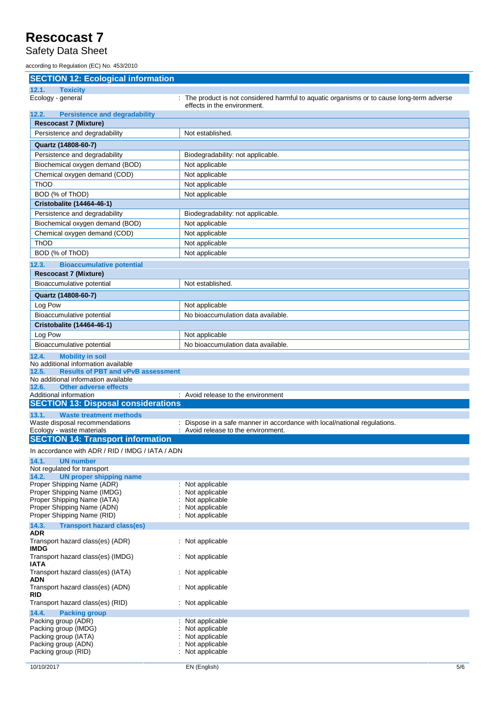#### Safety Data Sheet

according to Regulation (EC) No. 453/2010

| <b>SECTION 12: Ecological information</b>                               |                                                                                                                           |
|-------------------------------------------------------------------------|---------------------------------------------------------------------------------------------------------------------------|
| 12.1.<br><b>Toxicity</b>                                                |                                                                                                                           |
| Ecology - general                                                       | : The product is not considered harmful to aquatic organisms or to cause long-term adverse<br>effects in the environment. |
| <b>Persistence and degradability</b><br>12.2.                           |                                                                                                                           |
| <b>Rescocast 7 (Mixture)</b>                                            |                                                                                                                           |
| Persistence and degradability                                           | Not established.                                                                                                          |
| Quartz (14808-60-7)                                                     |                                                                                                                           |
| Persistence and degradability                                           | Biodegradability: not applicable.                                                                                         |
| Biochemical oxygen demand (BOD)                                         | Not applicable                                                                                                            |
| Chemical oxygen demand (COD)                                            | Not applicable                                                                                                            |
| ThOD                                                                    | Not applicable                                                                                                            |
| BOD (% of ThOD)                                                         | Not applicable                                                                                                            |
| Cristobalite (14464-46-1)                                               |                                                                                                                           |
| Persistence and degradability                                           | Biodegradability: not applicable.                                                                                         |
| Biochemical oxygen demand (BOD)                                         | Not applicable                                                                                                            |
| Chemical oxygen demand (COD)                                            | Not applicable                                                                                                            |
| <b>ThOD</b>                                                             | Not applicable                                                                                                            |
| BOD (% of ThOD)                                                         | Not applicable                                                                                                            |
| 12.3.<br><b>Bioaccumulative potential</b>                               |                                                                                                                           |
| <b>Rescocast 7 (Mixture)</b>                                            |                                                                                                                           |
| Bioaccumulative potential                                               | Not established.                                                                                                          |
| Quartz (14808-60-7)                                                     |                                                                                                                           |
| Log Pow                                                                 | Not applicable                                                                                                            |
| Bioaccumulative potential                                               | No bioaccumulation data available.                                                                                        |
| Cristobalite (14464-46-1)                                               |                                                                                                                           |
| Log Pow                                                                 | Not applicable<br>No bioaccumulation data available.                                                                      |
| Bioaccumulative potential                                               |                                                                                                                           |
| <b>Mobility in soil</b><br>12.4.<br>No additional information available |                                                                                                                           |
| 12.5.<br><b>Results of PBT and vPvB assessment</b>                      |                                                                                                                           |
| No additional information available                                     |                                                                                                                           |
| <b>Other adverse effects</b><br>12.6.<br>Additional information         | : Avoid release to the environment                                                                                        |
| <b>SECTION 13: Disposal considerations</b>                              |                                                                                                                           |
| 13.1.<br><b>Waste treatment methods</b>                                 |                                                                                                                           |
| Waste disposal recommendations                                          | : Dispose in a safe manner in accordance with local/national regulations.                                                 |
| Ecology - waste materials                                               | : Avoid release to the environment.                                                                                       |
| <b>SECTION 14: Transport information</b>                                |                                                                                                                           |
| In accordance with ADR / RID / IMDG / IATA / ADN                        |                                                                                                                           |
| 14.1.<br><b>UN number</b><br>Not regulated for transport                |                                                                                                                           |
| 14.2.<br><b>UN proper shipping name</b>                                 |                                                                                                                           |
| Proper Shipping Name (ADR)                                              | : Not applicable                                                                                                          |
| Proper Shipping Name (IMDG)<br>Proper Shipping Name (IATA)              | Not applicable<br>Not applicable                                                                                          |
| Proper Shipping Name (ADN)                                              | Not applicable                                                                                                            |
| Proper Shipping Name (RID)                                              | Not applicable                                                                                                            |
| 14.3.<br><b>Transport hazard class(es)</b>                              |                                                                                                                           |
| <b>ADR</b><br>Transport hazard class(es) (ADR)<br><b>IMDG</b>           | : Not applicable                                                                                                          |
| Transport hazard class(es) (IMDG)<br><b>IATA</b>                        | : Not applicable                                                                                                          |
| Transport hazard class(es) (IATA)<br><b>ADN</b>                         | : Not applicable                                                                                                          |
| Transport hazard class(es) (ADN)<br><b>RID</b>                          | : Not applicable                                                                                                          |
| Transport hazard class(es) (RID)                                        | : Not applicable                                                                                                          |
| 14.4.<br><b>Packing group</b>                                           |                                                                                                                           |
| Packing group (ADR)<br>Packing group (IMDG)                             | Not applicable<br>Not applicable                                                                                          |
| Packing group (IATA)                                                    | Not applicable                                                                                                            |
| Packing group (ADN)                                                     | Not applicable                                                                                                            |
| Packing group (RID)                                                     | Not applicable                                                                                                            |